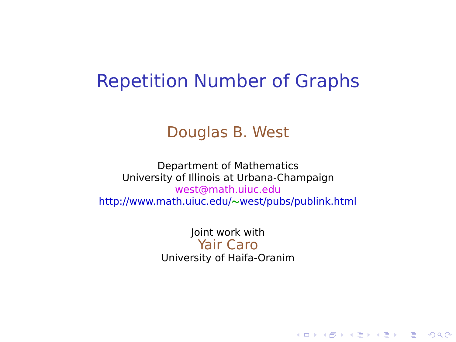### Repetition Number of Graphs

#### Douglas B. West

Department of Mathematics University of Illinois at Urbana-Champaign west@math.uiuc.edu http://www.math.uiuc.edu/**∼**west/pubs/publink.html

> Joint work with Yair Caro University of Haifa-Oranim

> > **KORK ERKERK ER KRENK**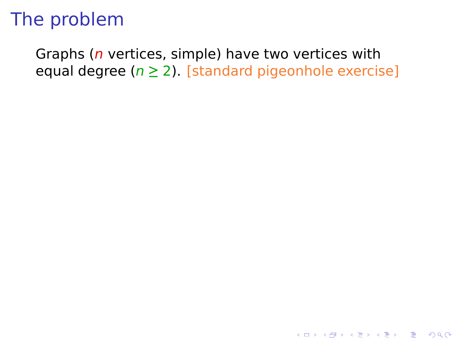Graphs ( $n$  vertices, simple) have two vertices with equal degree (n **≥** 2). [standard pigeonhole exercise]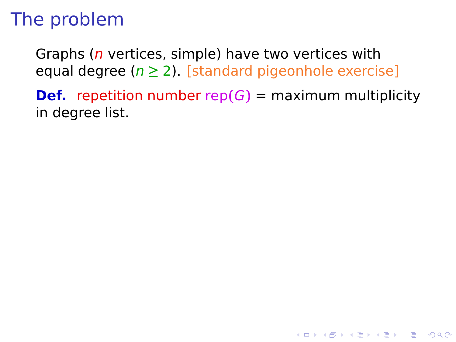Graphs ( $n$  vertices, simple) have two vertices with equal degree (n **≥** 2). [standard pigeonhole exercise]

**Def.** repetition number rep $(G)$  = maximum multiplicity in degree list.

**KORK ERKERK ER KRENK**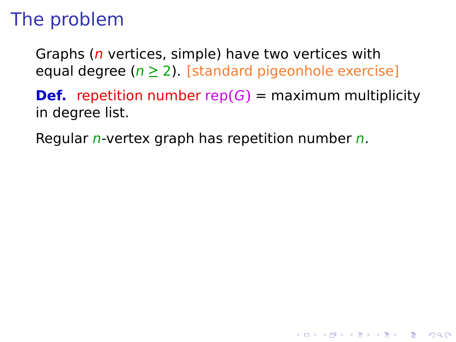Graphs ( $n$  vertices, simple) have two vertices with equal degree (n **≥** 2). [standard pigeonhole exercise]

**Def.** repetition number rep $(G)$  = maximum multiplicity in degree list.

**YO A REPART ARTICLE** 

Regular  $n$ -vertex graph has repetition number  $n$ .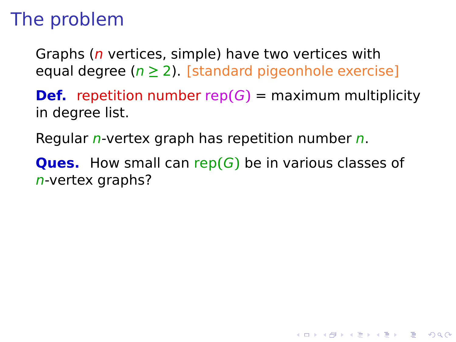Graphs ( $n$  vertices, simple) have two vertices with equal degree (n **≥** 2). [standard pigeonhole exercise]

**Def.** repetition number rep $(G)$  = maximum multiplicity in degree list.

Regular *n*-vertex graph has repetition number  $n$ .

**Ques.** How small can rep**(**G**)** be in various classes of n-vertex graphs?

**YO A REPART ARTICLE**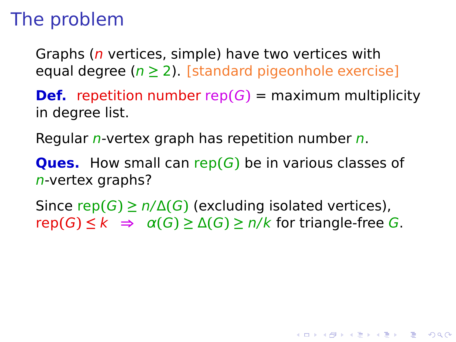Graphs ( $n$  vertices, simple) have two vertices with equal degree (n **≥** 2). [standard pigeonhole exercise]

**Def.** repetition number rep $(G)$  = maximum multiplicity in degree list.

Regular *n*-vertex graph has repetition number  $n$ .

**Ques.** How small can rep**(**G**)** be in various classes of n-vertex graphs?

Since rep $(G) \ge n/\Delta(G)$  (excluding isolated vertices),  $rep(G) \leq k$  ⇒  $\alpha(G) \geq \Delta(G) \geq n/k$  for triangle-free G.

**YO A REPART ARTICLE**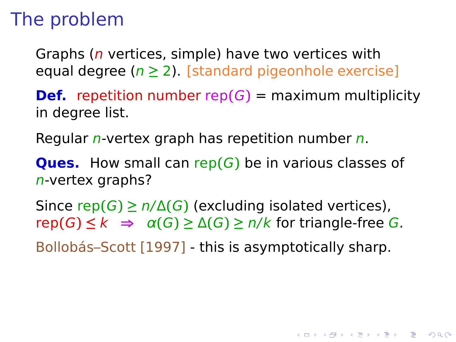Graphs ( $n$  vertices, simple) have two vertices with equal degree (n **≥** 2). [standard pigeonhole exercise]

**Def.** repetition number rep $(G)$  = maximum multiplicity in degree list.

Regular *n*-vertex graph has repetition number  $n$ .

**Ques.** How small can rep**(**G**)** be in various classes of n-vertex graphs?

Since rep $(G) \ge n/\Delta(G)$  (excluding isolated vertices),  $rep(G)$  ≤ k  $\Rightarrow$   $\alpha(G)$  ≥  $\Delta(G)$  ≥  $n/k$  for triangle-free G.

Bollobás–Scott [1997] - this is asymptotically sharp.

**YO A REPART ARTICLE**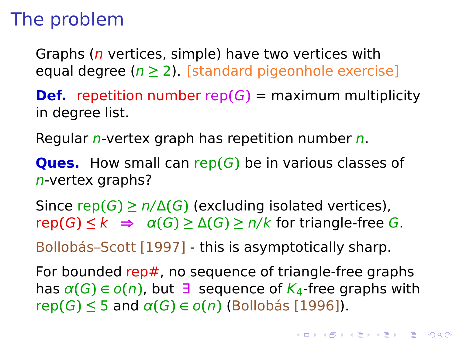Graphs ( $n$  vertices, simple) have two vertices with equal degree (n **≥** 2). [standard pigeonhole exercise]

**Def.** repetition number rep $(G)$  = maximum multiplicity in degree list.

Regular *n*-vertex graph has repetition number  $n$ .

**Ques.** How small can rep**(**G**)** be in various classes of n-vertex graphs?

Since rep $(G) \ge n/\Delta(G)$  (excluding isolated vertices),  $rep(G) \leq k$  ⇒  $\alpha(G) \geq \Delta(G) \geq n/k$  for triangle-free G.

Bollobás–Scott [1997] - this is asymptotically sharp.

For bounded rep#, no sequence of triangle-free graphs has  $\alpha(G) \in o(n)$ , but  $\exists$  sequence of  $K_4$ -free graphs with rep**(**G**) ≤** 5 and α**(**G**) ∈** o**(**n**)** (Bollobás [1996]).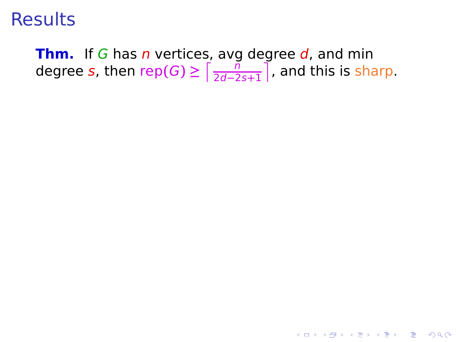**Thm.** If G has n vertices, avg degree d, and min degree  $s$ , then  $\mathsf{rep}(G) \ge \lceil \frac{n}{2d-2} \rceil$ 2d**−**2s**+**1 £ , and this is sharp.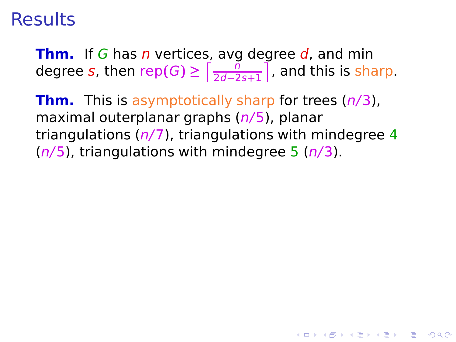**Thm.** If G has n vertices, avg degree d, and min degree  $s$ , then  $\mathsf{rep}(G) \ge \lceil \frac{n}{2d-2} \rceil$ 2d**−**2s**+**1 £ , and this is sharp.

**Thm.** This is asymptotically sharp for trees (n/3), maximal outerplanar graphs (n/5), planar triangulations  $(n/7)$ , triangulations with mindegree 4  $(n/5)$ , triangulations with mindegree 5  $(n/3)$ .

**KORKA SERKER YOUR**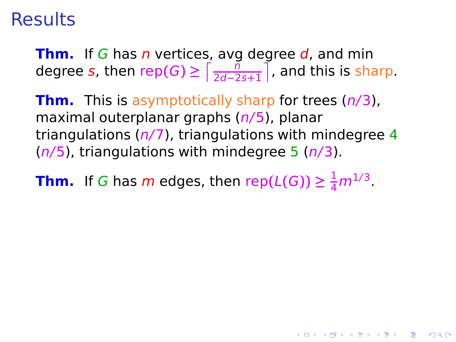**Thm.** If G has n vertices, avg degree d, and min degree  $s$ , then  $\mathsf{rep}(G) \ge \lceil \frac{n}{2d-2} \rceil$ 2d**−**2s**+**1 £ , and this is sharp.

**Thm.** This is asymptotically sharp for trees (n/3), maximal outerplanar graphs (n/5), planar triangulations  $(n/7)$ , triangulations with mindegree 4  $(n/5)$ , triangulations with mindegree 5  $(n/3)$ .

KELK KØRK VERKER ET 1990

**Thm.** If G has m edges, then rep( $L(G)$ )  $\geq \frac{1}{4}m^{1/3}$ .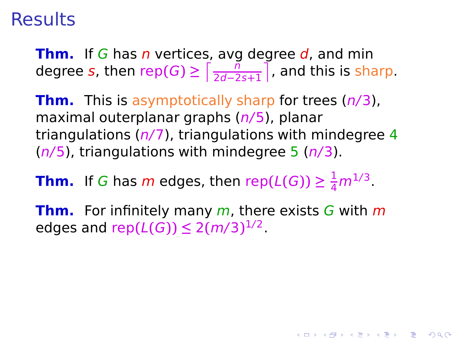**Thm.** If G has n vertices, avg degree d, and min degree  $s$ , then  $\mathsf{rep}(G) \ge \lceil \frac{n}{2d-2} \rceil$ 2d**−**2s**+**1 £ , and this is sharp.

**Thm.** This is asymptotically sharp for trees (n/3), maximal outerplanar graphs (n/5), planar triangulations  $(n/7)$ , triangulations with mindegree 4  $(n/5)$ , triangulations with mindegree 5  $(n/3)$ .

**Thm.** If G has m edges, then rep( $L(G)$ )  $\geq \frac{1}{4}m^{1/3}$ .

**Thm.** For infinitely many m, there exists G with m edges and  $rep(L(G)) \leq 2(m/3)^{1/2}$ .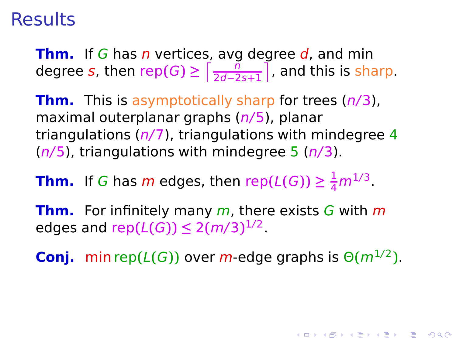**Thm.** If G has n vertices, avg degree d, and min degree  $s$ , then  $\mathsf{rep}(G) \ge \lceil \frac{n}{2d-2} \rceil$ 2d**−**2s**+**1 £ , and this is sharp.

**Thm.** This is asymptotically sharp for trees (n/3), maximal outerplanar graphs (n/5), planar triangulations  $(n/7)$ , triangulations with mindegree 4  $(n/5)$ , triangulations with mindegree 5  $(n/3)$ .

**Thm.** If G has m edges, then rep( $L(G)$ )  $\geq \frac{1}{4}m^{1/3}$ .

**Thm.** For infinitely many m, there exists G with m edges and  $rep(L(G)) \leq 2(m/3)^{1/2}$ .

**Conj.** min rep $(L(G))$  over m-edge graphs is  $\Theta(m^{1/2})$ .

4 0 > 4 <del>0</del> + 4 3 + 4 3 + 5 + 9 4 0 +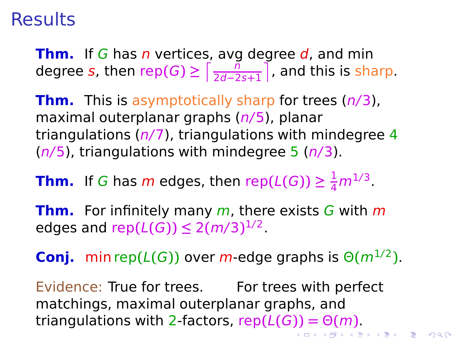**Thm.** If G has n vertices, avg degree d, and min degree  $s$ , then  $\mathsf{rep}(G) \ge \lceil \frac{n}{2d-2} \rceil$ 2d**−**2s**+**1 £ , and this is sharp.

**Thm.** This is asymptotically sharp for trees (n/3), maximal outerplanar graphs (n/5), planar triangulations  $(n/7)$ , triangulations with mindegree 4  $(n/5)$ , triangulations with mindegree 5  $(n/3)$ .

**Thm.** If G has m edges, then rep( $L(G)$ )  $\geq \frac{1}{4}m^{1/3}$ .

**Thm.** For infinitely many m, there exists G with m edges and  $rep(L(G)) \leq 2(m/3)^{1/2}$ .

**Conj.** min rep $(L(G))$  over m-edge graphs is  $\Theta(m^{1/2})$ .

Evidence: True for trees. For trees with perfect matchings, maximal outerplanar graphs, and triangulations with 2-factors, rep**(**L**(**G**)) =** Θ**(**m**)**.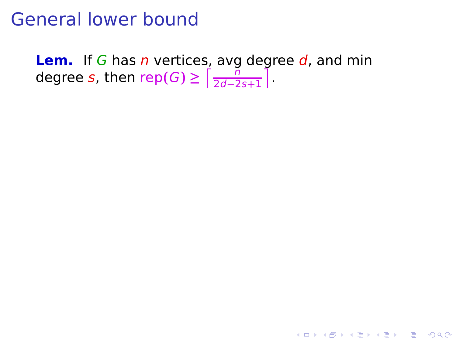**Lem.** If G has *n* vertices, avg degree d, and min degree *s*, then  $\mathsf{rep}(G) \ge \lceil \frac{n}{2d-2} \rceil$ 2d**−**2s**+**1 £ .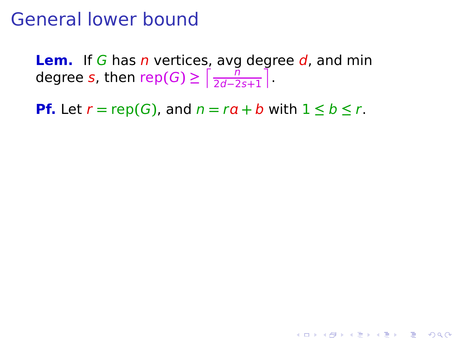**Lem.** If G has n vertices, avg degree d, and min degree *s*, then  $\mathsf{rep}(G) \ge \lceil \frac{n}{2d-2} \rceil$ 2d**−**2s**+**1 £ .

**Pf.** Let  $r = \text{rep}(G)$ , and  $n = ra + b$  with  $1 \leq b \leq r$ .

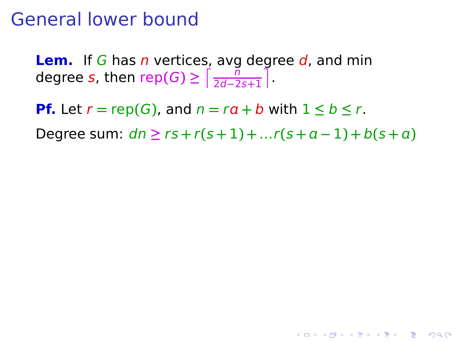**Lem.** If G has n vertices, avg degree d, and min degree *s*, then  $\mathsf{rep}(G) \ge \lceil \frac{n}{2d-2} \rceil$ 2d**−**2s**+**1 £ .

**Pf.** Let  $r = \text{rep}(G)$ , and  $n = ra + b$  with  $1 \leq b \leq r$ .

**Degree sum:**  $dn \geq rs + r(s + 1) + ...r(s + a - 1) + b(s + a)$ 

**YO A REPART ARE YOUR**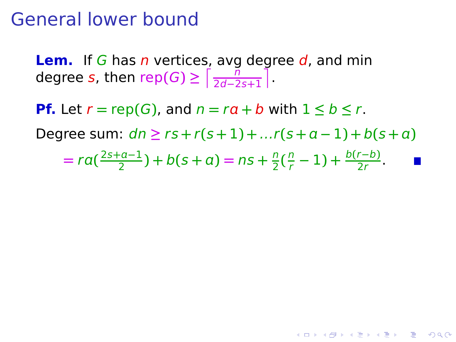**Lem.** If G has n vertices, avg degree d, and min degree *s*, then  $\mathsf{rep}(G) \ge \lceil \frac{n}{2d-2} \rceil$ 2d**−**2s**+**1 £ .

**Pf.** Let  $r = \text{rep}(G)$ , and  $n = ra + b$  with  $1 \leq b \leq r$ . **Degree sum:**  $dn \geq rs + r(s + 1) + ... r(s + a − 1) + b(s + a)$  $= ra(\frac{2s+a-1}{2}) + b(s+a) = ns + \frac{n}{2}$  $\frac{n}{2}(\frac{n}{r}-1)+\frac{b(r-b)}{2r}$ .

**KORKA SERKER YOUR**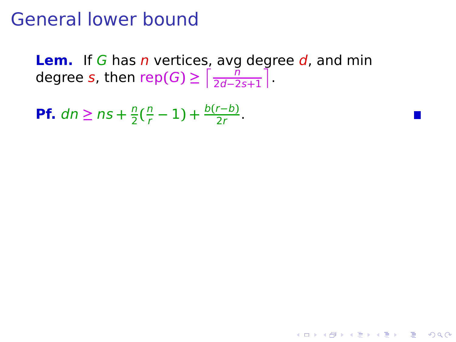**Lem.** If G has n vertices, avg degree d, and min degree *s*, then  $\mathsf{rep}(G) \ge \lceil \frac{n}{2d-2} \rceil$ 2d**−**2s**+**1 £ .

K ロ ▶ K @ ▶ K 할 ▶ K 할 ▶ | 할 | © 9 Q @

**Pf.**  $dn \geq ns + \frac{n}{2}$  $\frac{n}{2}(\frac{n}{r})$  $\frac{n}{r}$  – 1) +  $\frac{b(r-b)}{2r}$ .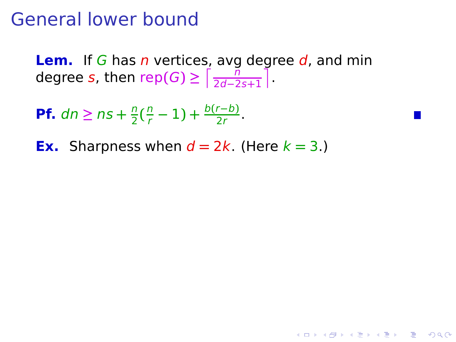**Lem.** If G has n vertices, avg degree d, and min degree *s*, then  $\mathsf{rep}(G) \ge \lceil \frac{n}{2d-2} \rceil$ 2d**−**2s**+**1 £ .

**KORKA SERKER YOUR** 

**Pf.**  $dn \geq ns + \frac{n}{2}$  $\frac{n}{2}(\frac{n}{r})$  $\frac{n}{r}$  – 1) +  $\frac{b(r-b)}{2r}$ .

**Ex.** Sharpness when  $d = 2k$ . (Here  $k = 3$ .)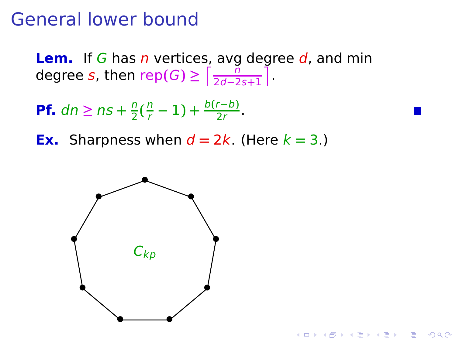**Lem.** If G has n vertices, avg degree d, and min degree  $s$ , then  $\mathsf{rep}(G) \ge \lceil \frac{n}{2d-2} \rceil$ 2d**−**2s**+**1 £ .

**K ロ X K 레 X K ミ X K ミ X → X 를 → Y Q Q Q** 

- **Pf.**  $dn \geq ns + \frac{n}{2}$  $\frac{n}{2}(\frac{n}{r}-1)+\frac{b(r-b)}{2r}$ .
- **Ex.** Sharpness when  $d = 2k$ . (Here  $k = 3$ .)

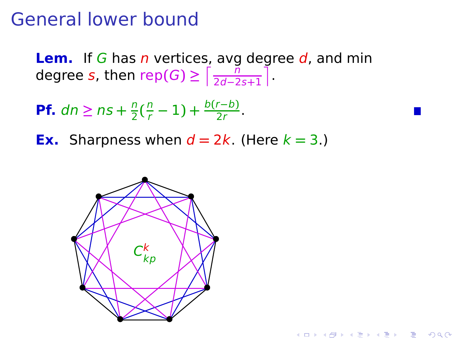**Lem.** If G has n vertices, avg degree d, and min degree  $s$ , then  $\mathsf{rep}(G) \ge \lceil \frac{n}{2d-2} \rceil$ 2d**−**2s**+**1 £ .

- **Pf.**  $dn \geq ns + \frac{n}{2}$  $\frac{n}{2}(\frac{n}{r}-1)+\frac{b(r-b)}{2r}$ .
- **Ex.** Sharpness when  $d = 2k$ . (Here  $k = 3$ .)

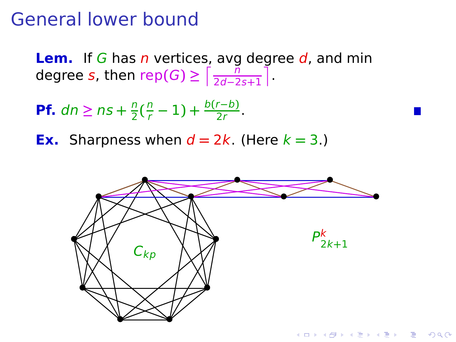**Lem.** If G has n vertices, avg degree d, and min degree  $s$ , then  $\mathsf{rep}(G) \ge \lceil \frac{n}{2d-2} \rceil$ 2d**−**2s**+**1 £ .

**Pf.**  $dn \geq ns + \frac{n}{2}$  $\frac{n}{2}(\frac{n}{r}-1)+\frac{b(r-b)}{2r}$ .

**Ex.** Sharpness when  $d = 2k$ . (Here  $k = 3$ .)

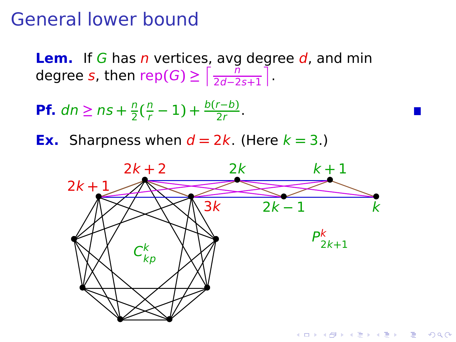**Lem.** If G has n vertices, avg degree d, and min degree  $s$ , then  $\mathsf{rep}(G) \ge \lceil \frac{n}{2d-2} \rceil$ 2d**−**2s**+**1 £ .

**Pf.**  $dn \geq ns + \frac{n}{2}$  $\frac{n}{2}(\frac{n}{r})$  $\frac{n}{r}$  – 1) +  $\frac{b(r-b)}{2r}$ .

**Ex.** Sharpness when  $d = 2k$ . (Here  $k = 3$ .)

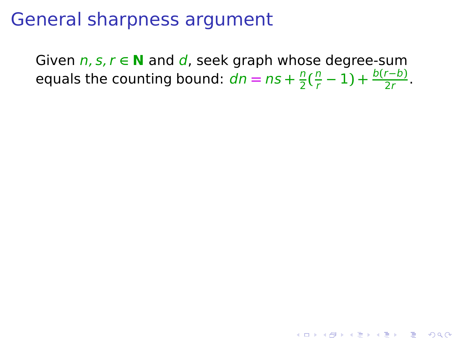Given n, s, r **∈ N** and d, seek graph whose degree-sum equals the counting bound:  $dn = ns + \frac{n}{2}$  $\frac{n}{2}(\frac{n}{r}-1)+\frac{b(r-b)}{2r}$ .

K ロ ▶ K @ ▶ K 할 ▶ K 할 ▶ 이 할 → 9 Q Q\*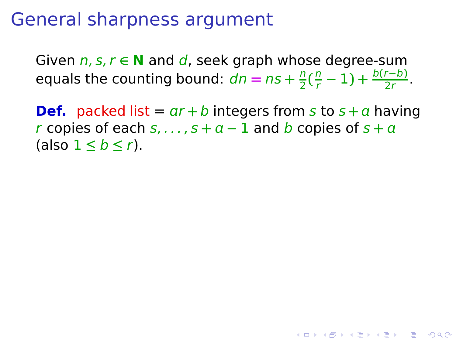Given n, s, r **∈ N** and d, seek graph whose degree-sum equals the counting bound:  $dn = ns + \frac{n}{2}$  $\frac{n}{2}(\frac{n}{r}-1)+\frac{b(r-b)}{2r}$ .

**Def.** packed list =  $ar + b$  integers from s to  $s + a$  having r copies of each  $s, \ldots, s + a - 1$  and b copies of  $s + a$ (also 1 **≤** b **≤** r).

**KORKA SERKER YOUR**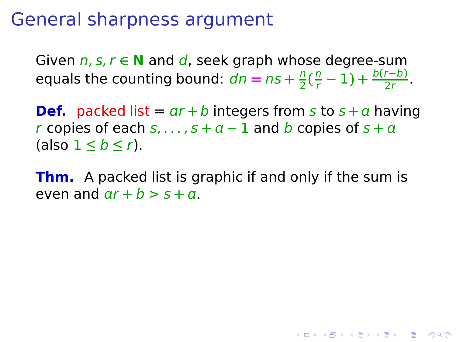Given n, s, r **∈ N** and d, seek graph whose degree-sum equals the counting bound:  $dn = ns + \frac{n}{2}$  $\frac{n}{2}(\frac{n}{r}-1)+\frac{b(r-b)}{2r}$ .

**Def.** packed list =  $ar + b$  integers from s to  $s + a$  having r copies of each  $s, \ldots, s + a - 1$  and b copies of  $s + a$ (also 1 **≤** b **≤** r).

**Thm.** A packed list is graphic if and only if the sum is even and  $ar + b > s + a$ .

**KORKA SERKER YOUR**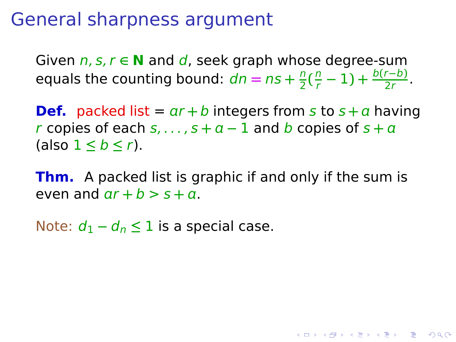Given n, s, r **∈ N** and d, seek graph whose degree-sum equals the counting bound:  $dn = ns + \frac{n}{2}$  $\frac{n}{2}(\frac{n}{r}-1)+\frac{b(r-b)}{2r}$ .

**Def.** packed list =  $ar + b$  integers from s to  $s + a$  having r copies of each  $s, \ldots, s + a - 1$  and b copies of  $s + a$ (also 1 **≤** b **≤** r).

**Thm.** A packed list is graphic if and only if the sum is even and  $ar + b > s + a$ .

**KORKA SERKER YOUR** 

Note:  $d_1 - d_n \leq 1$  is a special case.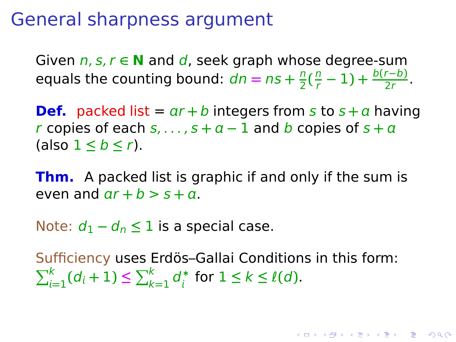Given n, s, r **∈ N** and d, seek graph whose degree-sum equals the counting bound:  $dn = ns + \frac{n}{2}$  $\frac{n}{2}(\frac{n}{r}-1)+\frac{b(r-b)}{2r}$ .

**Def.** packed list =  $ar + b$  integers from s to  $s + a$  having r copies of each  $s, \ldots, s + a - 1$  and b copies of  $s + a$ (also 1 **≤** b **≤** r).

**Thm.** A packed list is graphic if and only if the sum is even and  $ar + b > s + a$ .

Note:  $d_1 - d_n \leq 1$  is a special case.

Sufficiency uses Erdös–Gallai Conditions in this form:  $\sum_{i=1}^{k} (d_i + 1) \leq \sum_{k=1}^{k} d_i^*$  $\sum_{i}^{*}$  for  $1 \leq k \leq l(d)$ .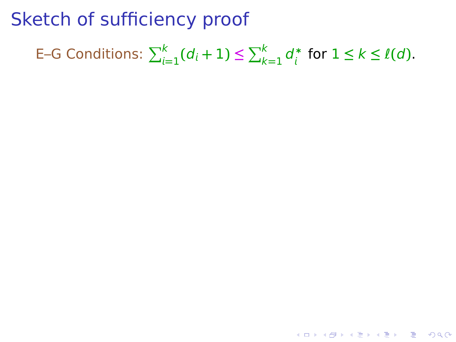E–G Conditions:  $\sum_{i=1}^{k} (d_i + 1) \leq \sum_{k=1}^{k} d_i^*$  $\sum_{i}^{*}$  for  $1 \leq k \leq l(d)$ .

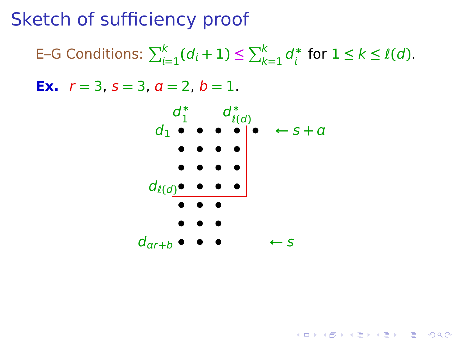E–G Conditions:  $\sum_{i=1}^{k} (d_i + 1) \leq \sum_{k=1}^{k} d_i^*$  $\sum_{i}^{*}$  for  $1 \leq k \leq l(d)$ .

**Ex.**  $r = 3$ ,  $s = 3$ ,  $a = 2$ ,  $b = 1$ .



**KORKA SERKER YOUR**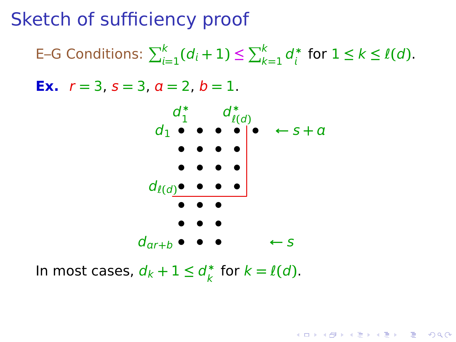E–G Conditions:  $\sum_{i=1}^{k} (d_i + 1) \leq \sum_{k=1}^{k} d_i^*$  $\sum_{i}^{*}$  for  $1 \leq k \leq l(d)$ . **Ex.**  $r = 3$ ,  $s = 3$ ,  $a = 2$ ,  $b = 1$ . **• • • • • • • • • • • • •** dℓ**(**d**) • • • • • • • •**  $d_1 \bullet \bullet \bullet \bullet \bullet | \bullet$  $d_{ar+b} \bullet \bullet \bullet \bullet \bullet \leftarrow s$  $d_1^*$  $\frac{1}{1}$   $d_{\ell}^*$  $\begin{bmatrix} l(d) \\ \bullet \end{bmatrix}$   $\bullet$   $\begin{bmatrix} \bullet & \leftarrow & S + a \end{bmatrix}$ 

**KORKA SERKER YOUR** 

In most cases,  $d_k + 1 \leq d_k^*$  $\frac{k}{k}$  for  $k = \ell(d)$ .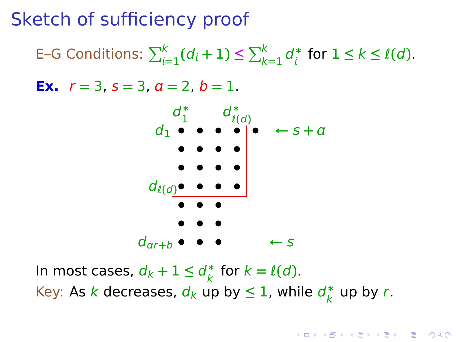E–G Conditions:  $\sum_{i=1}^{k} (d_i + 1) \leq \sum_{k=1}^{k} d_i^*$  $\sum_{i}^{*}$  for  $1 \leq k \leq l(d)$ .

**Ex.**  $r = 3$ ,  $s = 3$ ,  $a = 2$ ,  $b = 1$ .



In most cases,  $d_k + 1 \leq d_k^*$  $\frac{k}{k}$  for  $k = \ell(d)$ . Key: As k decreases,  $d_k$  up by  $\leq 1$ , while  $d_k^*$  $\frac{k}{k}$  up by r.

**KORK EXTERNE MORE**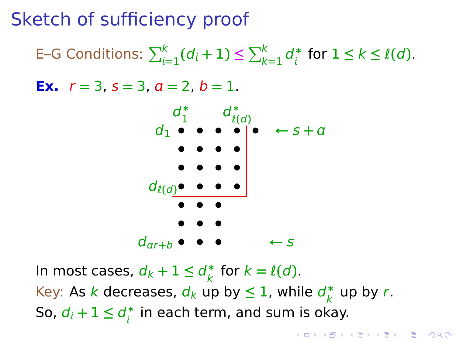E–G Conditions:  $\sum_{i=1}^{k} (d_i + 1) \leq \sum_{k=1}^{k} d_i^*$  $\sum_{i}^{*}$  for  $1 \leq k \leq l(d)$ .

**Ex.**  $r = 3$ ,  $s = 3$ ,  $a = 2$ ,  $b = 1$ .



In most cases,  $d_k + 1 \leq d_k^*$  $\frac{k}{k}$  for  $k = \ell(d)$ . Key: As k decreases,  $d_k$  up by  $\leq 1$ , while  $d_k^*$  $\frac{k}{k}$  up by r. So,  $d_i + 1 \leq d_i^*$  $_i^*$  in each term, and sum is okay.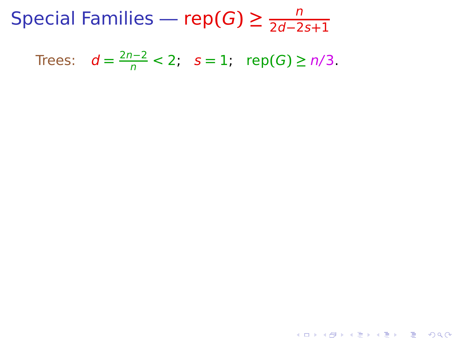Trees:  $d = \frac{2n-2}{n}$  < 2;  $s = 1$ ; rep(*G*) ≥ *n*/3.

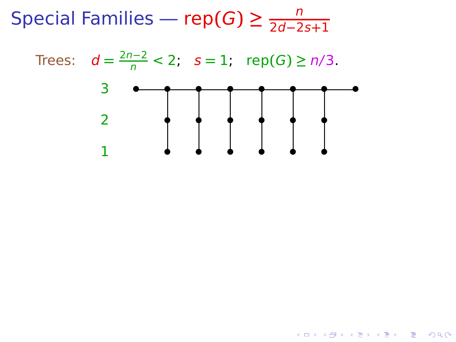Trees:  $d = \frac{2n-2}{n}$  < 2;  $s = 1$ ; rep(*G*) ≥ *n*/3.

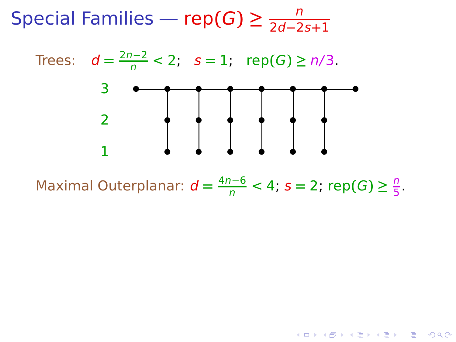Trees:  $d = \frac{2n-2}{n}$  < 2;  $s = 1$ ; rep(*G*) ≥ *n*/3.



Maximal Outerplanar:  $d = \frac{4n-6}{n} < 4$ ;  $s = 2$ ; rep $(G) \ge \frac{n}{5}$  $\frac{11}{5}$ .

K ロ ▶ K @ ▶ K 할 ▶ K 할 ▶ 이 할 → 9 Q Q\*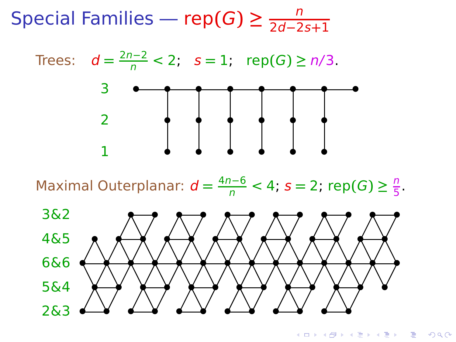Trees:  $d = \frac{2n-2}{n}$  < 2;  $s = 1$ ; rep(*G*) ≥ *n*/3.



Maximal Outerplanar:  $d = \frac{4n-6}{n} < 4$ ;  $s = 2$ ; rep $(G) \ge \frac{n}{5}$  $\frac{11}{5}$ .



**KORK EXTERNE MORE**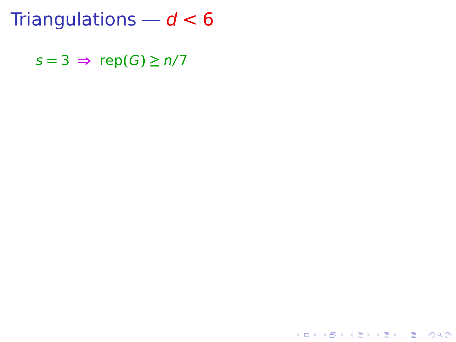Triangulations —  $d < 6$ 

 $s = 3 \implies \text{rep}(G) \geq n/7$ 

K ロ K x 何 K x モ K x モ K → E → D Q Q →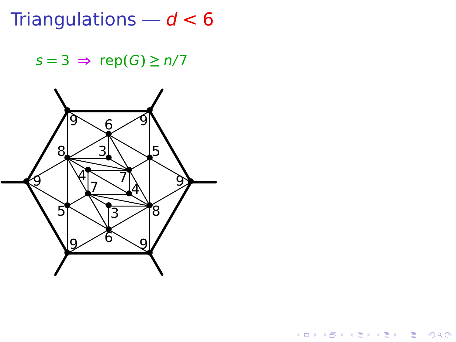Triangulations —  $d$   $<$   $6\,$ 

 $s = 3 \Rightarrow \operatorname{rep}(G) \ge n/7$ 



K ロ ▶ K @ ▶ K 콜 ▶ K 콜 ▶ 『 콜 │ ⊙ Q Q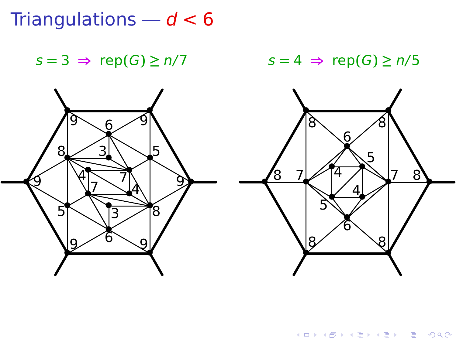Triangulations —  $d < 6$ 

 $s = 3 \implies \text{rep}(G) \ge n/7$   $s = 4 \implies \text{rep}(G) \ge n/5$ 

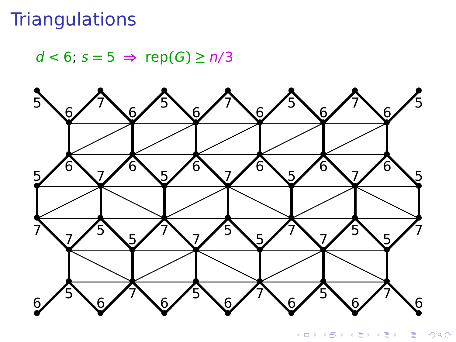## **Triangulations**

 $d < 6$ ;  $s = 5 \Rightarrow \text{rep}(G) \ge n/3$ 



 $290$ イロト (個) (注) (注) É J.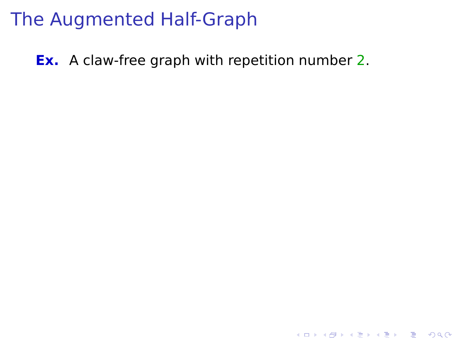## The Augmented Half-Graph

**Ex.** A claw-free graph with repetition number 2.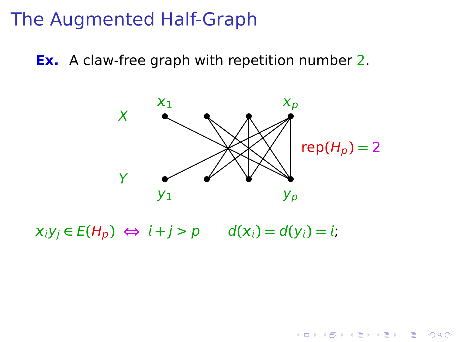## The Augmented Half-Graph

**Ex.** A claw-free graph with repetition number 2.



 $x_i y_j \in E(H_p) \Leftrightarrow i + j > p$   $d(x_i) = d(y_i) = i;$ 

K ロ ▶ K @ ▶ K 콜 ▶ K 콜 ▶ 『 콜 │ ⊙ Q Q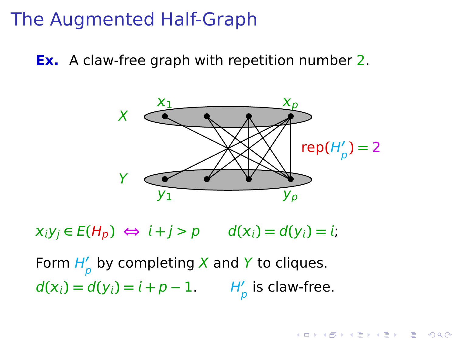#### The Augmented Half-Graph

**Ex.** A claw-free graph with repetition number 2.



 $x_i y_i \in E(H_p) \Leftrightarrow i + j > p$   $d(x_i) = d(y_i) = i;$ 

Form H**′** p by completing X and Y to cliques.  $d(x_i) = d(y_i) = i + p - 1.$  H<sup>'</sup><sub>p</sub> is claw-free.

K ロ ▶ K @ ▶ K 할 ▶ K 할 ▶ 이 할 → 9 Q Q\*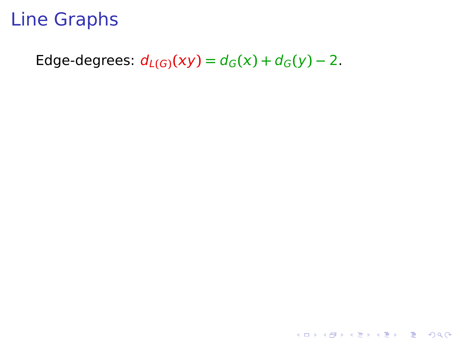<span id="page-45-0"></span>Edge-degrees:  $d_{L(G)}(xy) = d_G(x) + d_G(y) - 2$ .

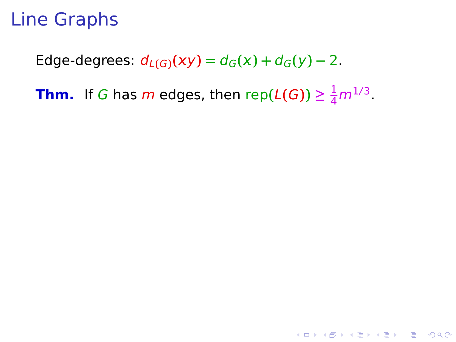Edge-degrees:  $d_{L(G)}(xy) = d_G(x) + d_G(y) - 2$ .

**Thm.** If G has m edges, then rep( $L(G)$ )  $\geq \frac{1}{4}m^{1/3}$ .

**K ロ ▶ K @ ▶ K 할 X K 할 X 및 할 X 9 Q @**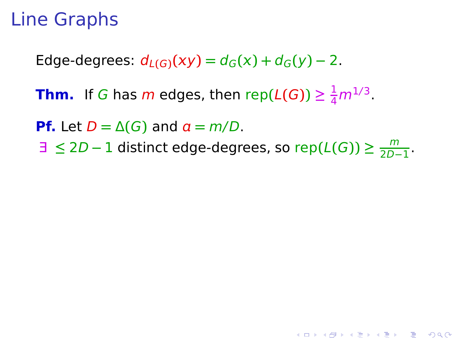Edge-degrees:  $d_{L(G)}(xy) = d_G(x) + d_G(y) - 2$ .

**Thm.** If G has m edges, then rep( $L(G)$ )  $\geq \frac{1}{4}m^{1/3}$ .

**Pf.** Let  $D = \Delta(G)$  and  $a = m/D$ .

∃ **≤** 2D **−** 1 distinct edge-degrees, so rep**(**L**(**G**)) ≥** m  $\frac{m}{2D-1}$ .

**KORKA SERKER YOUR**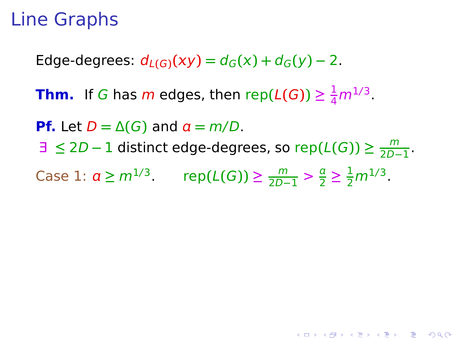Edge-degrees:  $d_{L(G)}(xy) = d_G(x) + d_G(y) - 2$ .

**Thm.** If G has m edges, then rep( $L(G)$ )  $\geq \frac{1}{4}m^{1/3}$ .

**Pf.** Let  $D = \Delta(G)$  and  $a = m/D$ .

∃ **≤** 2D **−** 1 distinct edge-degrees, so rep**(**L**(**G**)) ≥** m  $\frac{m}{2D-1}$ .

**KORKA SERKER YOUR** 

Case 1:  $a \ge m^{1/3}$ . rep(*L*(*G*)) ≥  $\frac{m}{2D-1} > \frac{a}{2}$  $\frac{a}{2} \geq \frac{1}{2} m^{1/3}$ .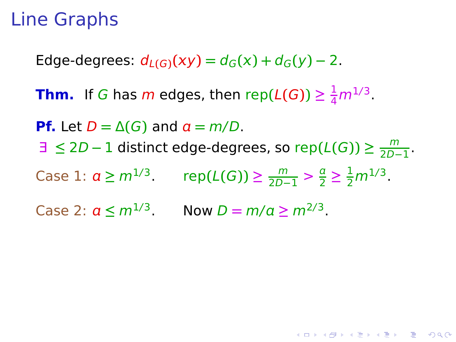Edge-degrees:  $d_{L(G)}(xy) = d_G(x) + d_G(y) - 2$ .

**Thm.** If G has m edges, then rep( $L(G)$ )  $\geq \frac{1}{4}m^{1/3}$ .

**Pf.** Let  $D = \Delta(G)$  and  $a = m/D$ . ∃ **≤** 2D **−** 1 distinct edge-degrees, so rep**(**L**(**G**)) ≥** m  $\frac{m}{2D-1}$ . Case 1:  $a \ge m^{1/3}$ . rep(*L*(*G*)) ≥  $\frac{m}{2D-1} > \frac{a}{2}$  $\frac{a}{2} \geq \frac{1}{2} m^{1/3}$ . Case 2:  $a \le m^{1/3}$ . Now  $D = m/a \ge m^{2/3}$ .

**KORKA SERKER YOUR**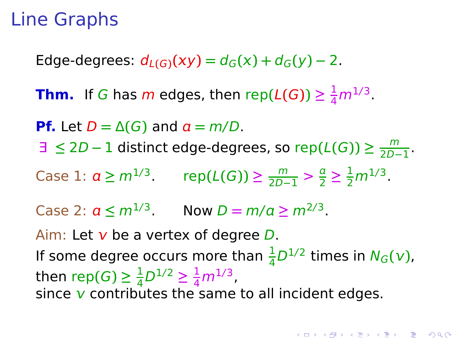Edge-degrees:  $d_{L(G)}(xy) = d_G(x) + d_G(y) - 2$ .

**Thm.** If G has m edges, then rep( $L(G)$ )  $\geq \frac{1}{4}m^{1/3}$ .

**Pf.** Let  $D = \Delta(G)$  and  $a = m/D$ .

∃ **≤** 2D **−** 1 distinct edge-degrees, so rep**(**L**(**G**)) ≥** m  $\frac{m}{2D-1}$ .

Case 1:  $a \ge m^{1/3}$ . rep(*L*(*G*)) ≥  $\frac{m}{2D-1} > \frac{a}{2}$  $\frac{a}{2} \geq \frac{1}{2} m^{1/3}$ .

Case 2:  $a \le m^{1/3}$ . Now  $D = m/a \ge m^{2/3}$ .

Aim: Let  $v$  be a vertex of degree  $D$ .

If some degree occurs more than  $\frac{1}{4}D^{1/2}$  times in  $N_G(v)$ , then rep(*G*)  $\geq \frac{1}{4}$  $\frac{1}{4}D^{1/2} \geq \frac{1}{4}m^{1/3}$ , since  $\bf{v}$  contributes the same to all incident edges.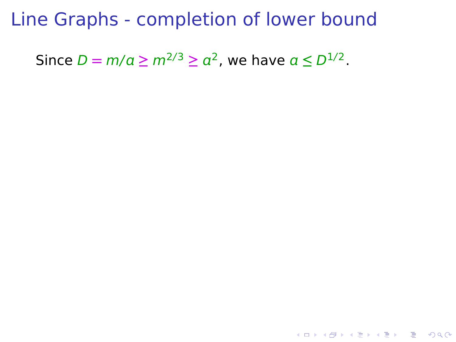Since  $D = m/a \ge m^{2/3} \ge a^2$ , we have  $a \le D^{1/2}$ .

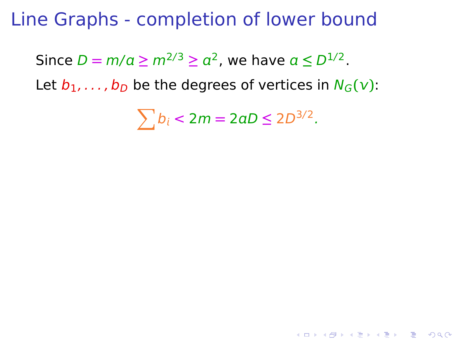Since  $D = m/a \ge m^{2/3} \ge a^2$ , we have  $a \le D^{1/2}$ .

Let  $b_1, \ldots, b_D$  be the degrees of vertices in  $N_G(v)$ :

 $\sum b_i < 2m = 2aD \leq 2D^{3/2}.$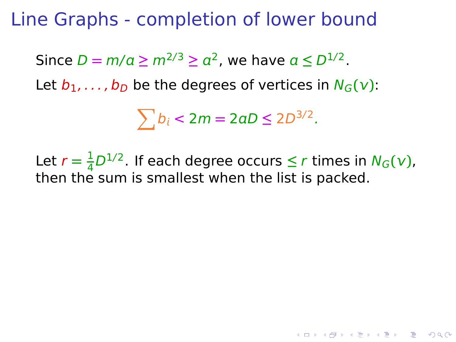Since  $D = m/a \ge m^{2/3} \ge a^2$ , we have  $a \le D^{1/2}$ .

Let  $b_1, \ldots, b_D$  be the degrees of vertices in  $N_G(v)$ :

 $\sum b_i < 2m = 2aD \leq 2D^{3/2}.$ 

Let  $r = \frac{1}{4}$  $\frac{1}{4}D^{1/2}$ . If each degree occurs  $\leq r$  times in  $N_G(v)$ , then the sum is smallest when the list is packed.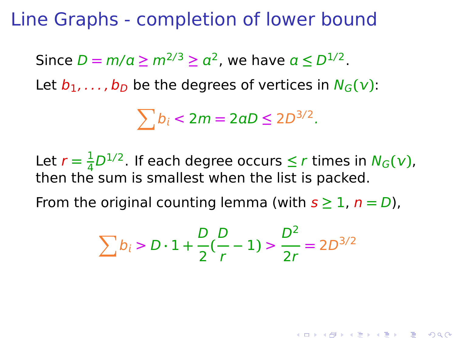Since  $D = m/a \ge m^{2/3} \ge a^2$ , we have  $a \le D^{1/2}$ .

Let  $b_1, \ldots, b_D$  be the degrees of vertices in  $N_G(v)$ :

 $\sum b_i < 2m = 2aD \leq 2D^{3/2}.$ 

Let  $r = \frac{1}{4}$  $\frac{1}{4}D^{1/2}$ . If each degree occurs  $\leq r$  times in  $N_G(v)$ , then the sum is smallest when the list is packed.

From the original counting lemma (with  $s \geq 1$ ,  $n = D$ ),

$$
\sum b_i > D \cdot 1 + \frac{D}{2} \left( \frac{D}{r} - 1 \right) > \frac{D^2}{2r} = 2D^{3/2}
$$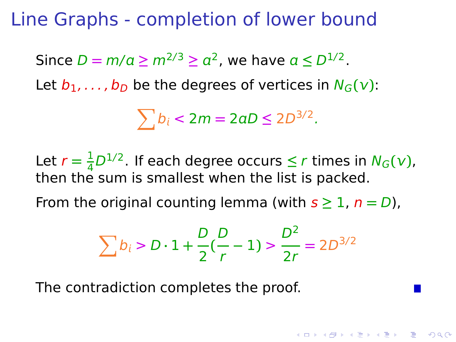Since  $D = m/a \ge m^{2/3} \ge a^2$ , we have  $a \le D^{1/2}$ .

Let  $b_1, \ldots, b_D$  be the degrees of vertices in  $N_G(v)$ :

 $\sum b_i < 2m = 2aD \leq 2D^{3/2}.$ 

Let  $r = \frac{1}{4}$  $\frac{1}{4}D^{1/2}$ . If each degree occurs  $\leq r$  times in  $N_G(v)$ , then the sum is smallest when the list is packed.

From the original counting lemma (with  $s \geq 1$ ,  $n = D$ ),

$$
\sum b_i > D \cdot 1 + \frac{D}{2} \left( \frac{D}{r} - 1 \right) > \frac{D^2}{2r} = 2D^{3/2}
$$

**A O A Y A P A P A P A P A V A V A CA** 

The contradiction completes the proof.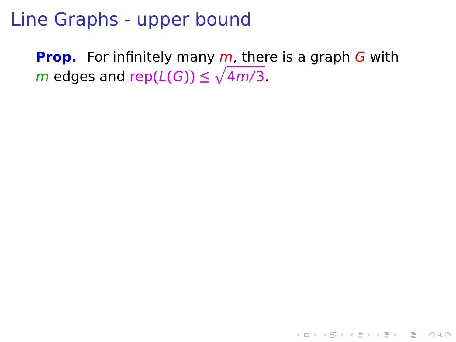**Prop.** For infinitely many *m*, there is a graph *G* with  $m$  edges and rep $(L(G)) \le \sqrt{4m/3}$ .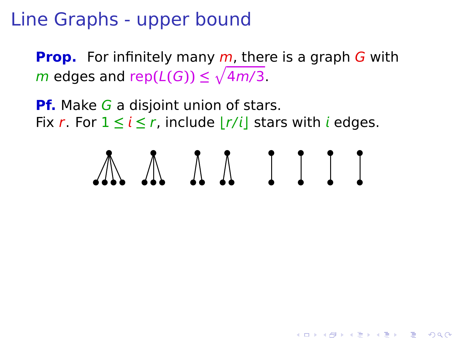**Prop.** For infinitely many m, there is a graph G with  $m$  edges and rep $(L(G)) \le \sqrt{4m/3}$ .

**Pf.** Make G a disjoint union of stars. Fix r. For  $1 \le i \le r$ , include  $|r/i|$  stars with *i* edges.



**KORKA SERKER YOUR**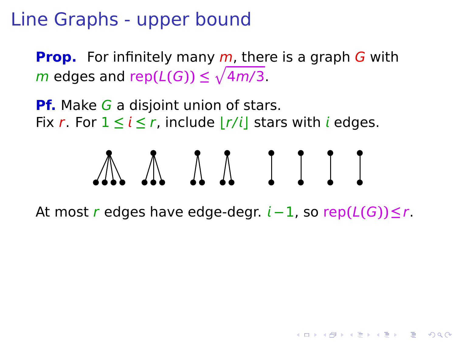**Prop.** For infinitely many m, there is a graph G with  $m$  edges and rep $(L(G)) \le \sqrt{4m/3}$ .

**Pf.** Make G a disjoint union of stars. Fix r. For  $1 \le i \le r$ , include  $|r/i|$  stars with *i* edges.



At most r edges have edge-degr. **−**1, so rep**(**L**(**G**))≤**r.

**KORKA SERKER YOUR**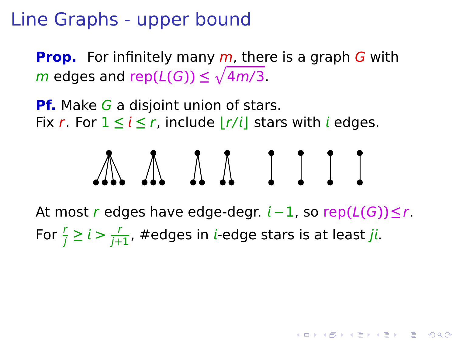**Prop.** For infinitely many m, there is a graph G with  $m$  edges and rep $(L(G)) \le \sqrt{4m/3}$ .

**Pf.** Make G a disjoint union of stars. Fix r. For  $1 \le i \le r$ , include  $|r/i|$  stars with *i* edges.



At most r edges have edge-degr.  $i - 1$ , so rep $(L(G)) \le r$ . For  $\frac{r}{j} \ge i > \frac{r}{j+1}$ , #edges in *i*-edge stars is at least *ji*.

KID KA KERKER E DAG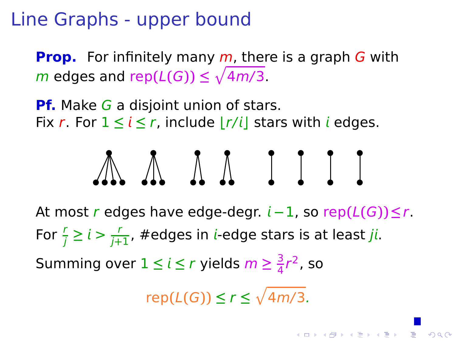**Prop.** For infinitely many m, there is a graph G with  $m$  edges and rep $(L(G)) \le \sqrt{4m/3}$ .

**Pf.** Make G a disjoint union of stars. Fix r. For  $1 \le i \le r$ , include  $|r/i|$  stars with *i* edges.



<span id="page-60-0"></span>At most r edges have edge-degr. **−**1, so rep**(**L**(**G**))≤**r. For  $\frac{r}{j} \ge i > \frac{r}{j+1}$ , #edges in *i*-edge stars is at least *ji*. Summing over  $1 \leq i \leq r$  yields  $m \geq \frac{3}{4}$  $\frac{3}{4}r^2$ , so

 $rep(L(G)) \leq r \leq \sqrt{4m/3}.$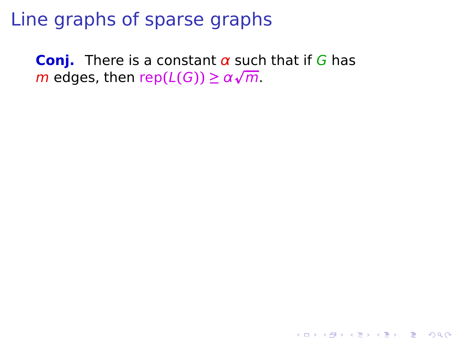<span id="page-61-0"></span>**Conj.** There is a constant  $\alpha$  such that if G has  $m$  edges, then  $\text{rep}(L(G)) \ge \alpha \sqrt{m}$ .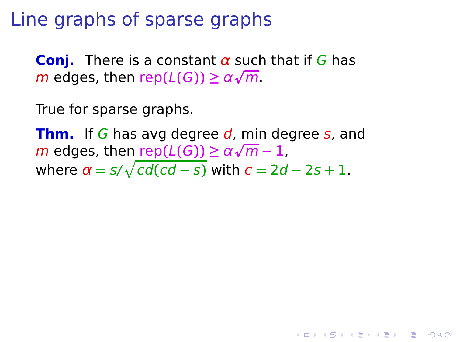**Conj.** There is a constant  $\alpha$  such that if G has  $m$  edges, then  $\text{rep}(L(G)) \ge \alpha \sqrt{m}$ .

True for sparse graphs.

**Thm.** If G has avg degree d, min degree s, and  $m$  edges, then  $\frac{\text{rep}(L(G))}{\text{rep}(L(G))} \ge \alpha \sqrt{m} - 1$ , where  $\alpha = s/\sqrt{cd(cd - s)}$  with  $c = 2d - 2s + 1$ .

**KORKA SERKER YOUR**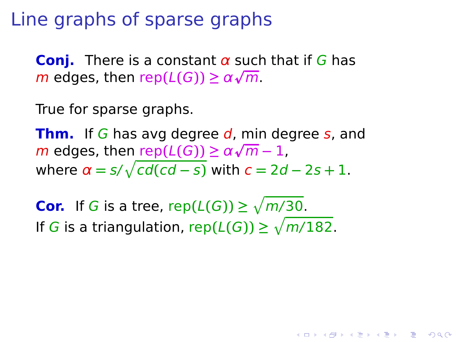**Conj.** There is a constant  $\alpha$  such that if G has  $m$  edges, then  $\text{rep}(L(G)) \ge \alpha \sqrt{m}$ .

True for sparse graphs.

**Thm.** If G has avg degree d, min degree s, and  $m$  edges, then  $\frac{\text{rep}(L(G))}{\text{rep}(L(G))} \ge \alpha \sqrt{m} - 1$ , where  $\alpha = s/\sqrt{cd(cd - s)}$  with  $c = 2d - 2s + 1$ .

**KORKA SERKER YOUR** 

<span id="page-63-0"></span>**Cor.** If G is a tree,  $\text{rep}(L(G)) \ge \sqrt{m/30}$ . If G is a triangulation,  $\text{rep}(L(G)) \ge \sqrt{m/182}$ .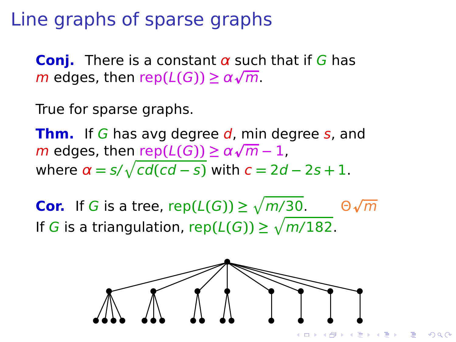**Conj.** There is a constant  $\alpha$  such that if G has  $m$  edges, then  $\text{rep}(L(G)) \ge \alpha \sqrt{m}$ .

True for sparse graphs.

**Thm.** If G has avg degree d, min degree s, and  $m$  edges, then  $\frac{\text{rep}(L(G))}{\text{rep}(L(G))} \ge \alpha \sqrt{m} - 1$ , where  $\alpha = s/\sqrt{cd(cd - s)}$  with  $c = 2d - 2s + 1$ .

<span id="page-64-0"></span>**Cor.** If G is a tree,  $\mathsf{rep}(L(G)) \ge \sqrt{m/30}$ .  $\Theta \sqrt{m}$ If G is a triangulation,  $\text{rep}(L(G)) \ge \sqrt{m/182}$ .



 $QQ$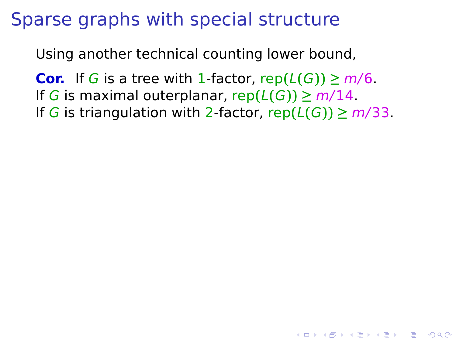Using another technical counting lower bound,

**Cor.** If G is a tree with 1-factor,  $rep(L(G)) \ge m/6$ . If G is maximal outerplanar,  $rep(L(G)) \geq m/14$ . If G is triangulation with 2-factor,  $rep(L(G)) \geq m/33$ .

**YO A REPART ARE YOUR**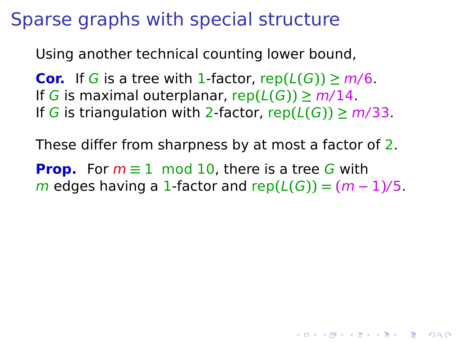Using another technical counting lower bound,

**Cor.** If G is a tree with 1-factor,  $rep(L(G)) \ge m/6$ . If G is maximal outerplanar,  $rep(L(G)) \geq m/14$ . If G is triangulation with 2-factor,  $rep(L(G)) \geq m/33$ .

These differ from sharpness by at most a factor of 2.

**Prop.** For  $m \equiv 1 \mod 10$ , there is a tree G with **m** edges having a 1-factor and  $rep(L(G)) = (m-1)/5$ .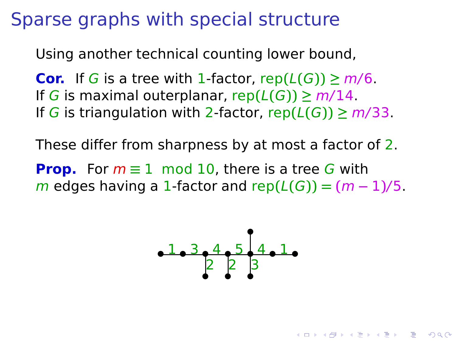Using another technical counting lower bound,

**Cor.** If G is a tree with 1-factor,  $rep(L(G)) \ge m/6$ . If G is maximal outerplanar,  $rep(L(G)) \geq m/14$ . If G is triangulation with 2-factor,  $rep(L(G)) \geq m/33$ .

These differ from sharpness by at most a factor of 2.

**Prop.** For  $m \equiv 1 \mod 10$ , there is a tree G with **m** edges having a 1-factor and  $rep(L(G)) = (m-1)/5$ .



**KORKA SERKER YOUR**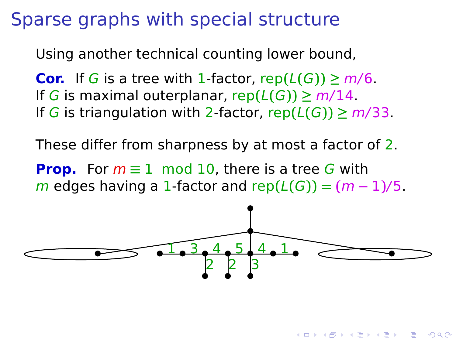Using another technical counting lower bound,

**Cor.** If G is a tree with 1-factor,  $rep(L(G)) \ge m/6$ . If G is maximal outerplanar,  $rep(L(G)) \geq m/14$ . If G is triangulation with 2-factor,  $rep(L(G)) \geq m/33$ .

These differ from sharpness by at most a factor of 2.

**Prop.** For  $m \equiv 1 \mod 10$ , there is a tree G with **m** edges having a 1-factor and  $rep(L(G)) = (m-1)/5$ .